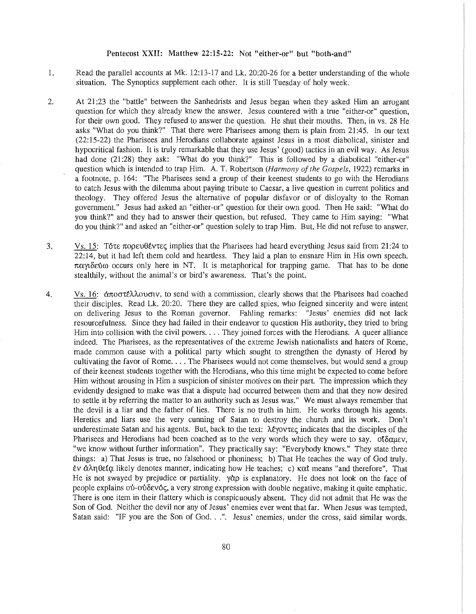## Pentecost XXII: Matthew 22:15-22: Not "either-or" but "both-and"

- 1. Read the parallel accounts at Mk. 12:13-17 and Lk. 20:20-26 for a better understanding of the whole situation. The Synoptics supplement each other. It is still Tuesday of holy week.
- 2. At 21 :23 the "battle" between the Sanhedrists and Jesus began when they asked Him an arrogant question for which they already knew the answer. Jesus countered with a true "either-or" question, for their own good. They refused to answer the question. He shut their mouths. Then, in vs. 28 He asks "What do you think?" That there were Pharisees among them is plain from 21 :45. In our text (22:15-22) the Pharisees and Herodians collaborate against Jesus in a most diabolical, sinister and hypocritical fashion. It is truly remarkable that they use Jesus' (good) tactics in an evil way. As Jesus had done (21:28) they ask: "What do you think?" This is followed by a diabolical "either-or" question which is intended to trap Him. A. T. Robertson *(Harmony of the Gospels,* 1922) remarks in a footnote, p. 164: "The Pharisees send a group of their keenest students to go with the Herodians to catch Jesus with the dilemma about paying tribute to Caesar, a live question in current politics and theology. They offered Jesus the alternative of popular disfavor or of disloyalty to the Roman government." Jesus had asked an "either-or" question for their own good. Then He said: "What do you think?" and they had to answer their question, but refused. They came to Him saying: "What do you think?" and asked an "either-or" question solely to trap Him. But, He did not refuse to answer.
- 3. Vs. 15: Tôte  $\pi$  oper  $\theta$  Evere implies that the Pharisees had heard everything Jesus said from 21:24 to 22:14, but it had left them cold and heartless. They laid a plan to ensnare Him in His own speech.  $\pi\alpha\gamma\delta\varepsilon\gamma\omega$  occurs only here in NT. It is metaphorical for trapping game. That has to be done stealthily, without the animal's or bird's awareness. That's the point.
- 4. Vs. 16: άποστέλλουσιν, to send with a commission, clearly shows that the Pharisees had coached their disciples. Read Lk. 20:20. There they are called spies, who feigned sincerity and were intent on delivering Jesus to the Roman governor. Fabling remarks: "Jesus' enemies did not lack resourcefulness. Since they had failed in their endeavor to question His authority, they tried to bring Him into collision with the civil powers.... They joined forces with the Herodians. A queer alliance indeed. The Pharisees, as the representatives of the extreme Jewish nationalists and haters of Rome, made common cause with a political party which sought to strengthen the dynasty of Herod by cultivating the favor of Rome .... The Pharisees would not come themselves, but would send a group of their keenest students together with the Herodians, who this time might be expected to come before Him without arousing in Him a suspicion of sinister motives on their part. The impression which they evidently designed to make was that a dispute had occurred between them and that they now desired to settle it by referring the matter to an authority such as Jesus was." We must always remember that the devil is a liar and the father of lies. There is no truth in him. He works through his agents. Heretics and liars use the very cunning of Satan to destroy the church and its work. Don't underestimate Satan and his agents. But, back to the text:  $\lambda \xi y \circ y \tau \varepsilon \zeta$  indicates that the disciples of the Pharisees and Herodians had been coached as to the very words which they were to say.  $0\{\delta \alpha\mu\epsilon\}$ , "we know without further information". They practically say: "Everybody knows." They state three things: a) That Jesus is true, no falsehood or phoniness; b) That He teaches the way of God truly. EV 6'.AT]8£{Q'. likely denotes manner, indicating how He teaches; c) **Kat** means "and therefore". That He is not swayed by prejudice or partiality.  $\gamma \alpha \rho$  is explanatory. He does not look on the face of people explains ού-ούδενός, a very strong expression with double negative, making it quite emphatic. There is one item in their flattery which is conspicuously absent. They did not admit that He was the Son of God. Neither the devil nor any of Jesus' enemies ever went that far. When Jesus was tempted, Satan said: "IF you are the Son of God. . .". Jesus' enemies, under the cross, said similar words.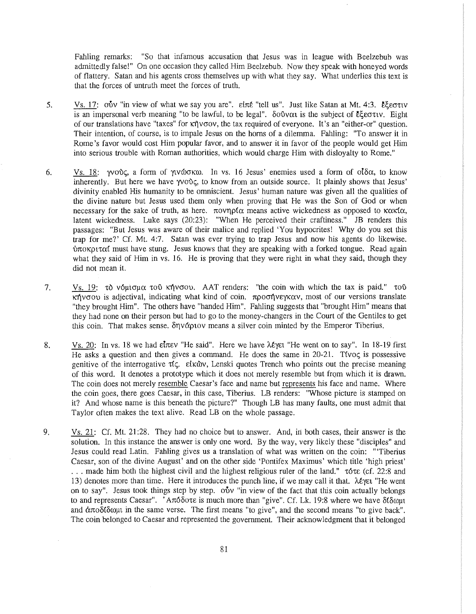Fahling remarks: "So that infamous accusation that Jesus was in league with Beelzebub was admittedly false!" On one occasion they called Him Beelzebub. Now they speak with honeyed words of flattery. Satan and his agents cross themselves up with what they say. What underlies this text is that the forces of untruth meet the forces of truth.

- 5. Vs. 17:  $0\bar{0}v$  "in view of what we say you are". *Elne* "tell us". Just like Satan at Mt. 4:3. E $\epsilon$ ectiv is an impersonal verb meaning "to be lawful, to be legal".  $\delta$ o0 v $\alpha$  is the subject of E $\xi$ e $\sigma$ tv. Eight of our translations have "taxes" for κήνσον, the tax required of everyone. It's an "either-or" question. Their intention, of course, is to impale Jesus on the horns of a dilemma. Fabling: "To answer it in Rome's favor would cost Him popular favor, and to answer it in favor of the people would get Him into serious trouble with Roman authorities, which would charge Him with disloyalty to Rome."
- 6. Vs. 18:  $\gamma v \circ \delta c$ , a form of  $\gamma v \circ \delta c \circ c$ . In vs. 16 Jesus' enemies used a form of  $\delta \delta \alpha$ , to know inherently. But here we have  $\gamma v \circ \delta \zeta$ , to know from an outside source. It plainly shows that Jesus' divinity enabled His humanity to be omniscient. Jesus' human nature was given all the qualities of the divine nature but Jesus used them only when proving that He was the Son of God or when necessary for the sake of truth, as here.  $\pi$ ovn $\rho$ f $\alpha$  means active wickedness as opposed to  $\kappa \alpha \kappa$ f $\alpha$ , latent wickedness. Luke says (20:23): "When He perceived their craftiness." JB renders this passages: "But Jesus was aware of their malice and replied 'You hypocrites! Why do you set this trap for me?' Cf. Mt. 4:7. Satan was ever trying to trap Jesus and now his agents do likewise.  $\frac{1}{2}$  where  $\frac{1}{2}$  must have stung. Jesus knows that they are speaking with a forked tongue. Read again what they said of Him in vs. 16. He is proving that they were right in what they said, though they did not mean it.
- 7. Vs. 19: 1:0 v6µrnµa wt'i K'ljvcrou. AAT renders: "the coin with which the tax is paid." wu  $\kappa$  hypov is adjectival, indicating what kind of coin.  $\pi \rho$  or the wave most of our versions translate "they brought Him". The others have "handed Him". Fabling suggests that "brought Him" means that they had none on their person but had to go to the money-changers in the Court of the Gentiles to get this coin. That makes sense.  $\delta \eta v \dot{\alpha} \rho v$  means a silver coin minted by the Emperor Tiberius.
- 8. Vs. 20: In vs. 18 we had  $\epsilon\bar{t}$  we "He said". Here we have  $\lambda\epsilon\gamma\epsilon$  "He went on to say". In 18-19 first He asks a question and then gives a command. He does the same in  $20-21$ . Tivos is possessive genitive of the interrogative  $\tau$ t $\zeta$ . ctk $\omega$ , Lenski quotes Trench who points out the precise meaning of this word. It denotes a prototype which it does not merely resemble but from which it is drawn. The coin does not merely resemble Caesar's face and name but represents his face and name. Where the coin goes, there goes Caesar, in this case, Tiberius. LB renders: "Whose picture is stamped on it? And whose name is this beneath the picture?" Though LB has many faults, one must admit that Taylor often makes the text alive. Read LB on the whole passage.
- 9. Vs. 21: Cf. Mt. 21 :28. They had no choice but to answer. And, in both cases, their answer is the solution. In this instance the answer is only one word. By the way, very likely these "disciples" and Jesus could read Latin. Fabling gives us a translation of what was written on the coin: "'Tiberius Caesar, son of the divine August' and on the other side 'Pontifex Maximus' which title 'high priest' ... made him both the highest civil and the highest religious ruler of the land."  $\tau$ 6 $\tau$ e (cf. 22:8 and 13) denotes more than time. Here it introduces the punch line, if we may call it that.  $\lambda \xi \gamma \epsilon t$  "He went on to say". Jesus took things step by step.  $\delta v$  "in view of the fact that this coin actually belongs to and represents Caesar". 'A $\pi\delta\delta$ ote is much more than "give". Cf. Lk. 19:8 where we have  $\delta\delta\omega$ ut and  $\dot{\alpha}$   $\pi$ o $\delta$ ( $\delta$ ω $\beta$ μ in the same verse. The first means "to give", and the second means "to give back". The coin belonged to Caesar and represented the government. Their acknowledgment that it belonged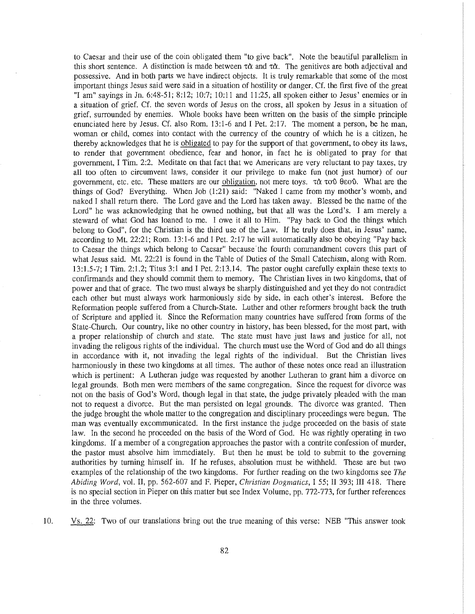to Caesar and their use of the coin obligated them "to give back". Note the beautiful parallelism in this short sentence. A distinction is made between  $\tau \alpha$  and  $\tau \alpha$ . The genitives are both adjectival and possessive. And in both parts we have indirect objects. It is truly remarkable that some of the most important things Jesus said were said in a situation of hostility or danger. Cf. the first five of the great "I am" sayings in Jn. 6:48-51; 8:12; 10:7; 10:11 and 11:25, all spoken either to Jesus' enemies or in a situation of grief. Cf. the seven words of Jesus on the cross, all spoken by Jesus in a situation of grief, surrounded by enemies. Whole books have been written on the basis of the simple principle enunciated here by Jesus. Cf. also Rom. 13:1-6 and I Pet. 2:17. The moment a person, be he man, woman or child, comes into contact with the currency of the country of which he is a citizen, he thereby acknowledges that he is obligated to pay for the support of that government, to obey its laws, to render that government obedience, fear and honor, in fact he is obligated to pray for that government, I Tim. 2:2. Meditate on that fact that we Americans are very reluctant to pay taxes, try all too often to circumvent laws, consider it our privilege to make fun (not just humor) of our government, etc. etc. These matters are our obligation, not mere toys.  $\tau \alpha$   $\tau \omega$   $\theta$  eo  $\theta$ . What are the things of God? Everything. When Job (1:21) said: "Naked I came from my mother's womb, and naked I shall return there. The Lord gave and the Lord has taken away. Blessed be the name of the Lord" he was acknowledging that he owned nothing, but that all was the Lord's. I am merely a steward of what God has loaned to me. I owe it all to Him. "Pay back to God the things which belong to God", for the Christian is the third use of the Law. If he truly does that, in Jesus' name, according to Mt. 22:21; Rom. 13:1-6 and I Pet. 2:17 he will automatically also be obeying "Pay back to Caesar the things which belong to Caesar" because the fourth commandment covers this part of what Jesus said. Mt. 22:21 is found in the Table of Duties of the Small Catechism, along with Rom. 13:1.5-7; I Tim. 2:1.2; Titus 3:1 and I Pet. 2:13.14. The pastor ought carefully explain these texts to confirmands and they should commit them to memory. The Christian lives in two kingdoms, that of power and that of grace. The two must always be sharply distinguished and yet they do not contradict each other but must always work harmoniously side by side, in each other's interest. Before the Reformation people suffered from a Church-State. Luther and other reformers brought back the truth of Scripture and applied it. Since the Reformation many countries have suffered from forms of the State-Church. Our country, like no other country in history, has been blessed, for the most part, with a proper relationship of church and state. The state must have just laws and justice for all, not invading the religous rights of the individual. The church must use the Word of God and do all things in accordance with it, not invading the legal rights of the individual. But the Christian lives harmoniously in these two kingdoms at all times. The author of these notes once read an illustration which is pertinent: A Lutheran judge was requested by another Lutheran to grant him a divorce on legal grounds. Both men were members of the same congregation. Since the request for divorce was not on the basis of God's Word, though legal in that state, the judge privately pleaded with the man not to request a divorce. But the man persisted on legal grounds. The divorce was granted. Then the judge brought the whole matter to the congregation and disciplinary proceedings were begun. The man was eventually excommunicated. In the first instance the judge proceeded on the basis of state law. In the second he proceeded on the basis of the Word of God. He was rightly operating in two kingdoms. If a member of a congregation approaches the pastor with a contrite confession of murder, the pastor must absolve him immediately. But then he must be told to submit to the governing authorities by turning himself in. If he refuses, absolution must be withheld. These are but two examples of the relationship of the two kingdoms. For further reading on the two kingdoms see *The Abiding Word,* vol. II, pp. 562-607 and F. Pieper, *Christian Dogmatics,* I 55; II 393; III 418. There is no special section in Pieper on this matter but see Index Volume, pp. 772-773, for further references in the three volumes.

10. Vs. 22: Two of our translations bring out the true meaning of this verse: NEB "This answer took